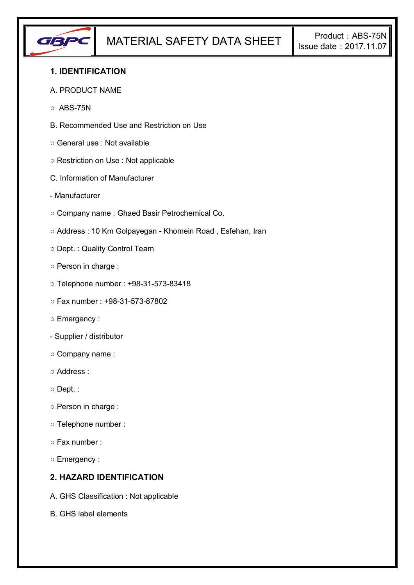

## **1. IDENTIFICATION**

#### A. PRODUCT NAME

- $\circ$  ABS-75N
- B. Recommended Use and Restriction on Use
- General use : Not available
- Restriction on Use : Not applicable
- C. Information of Manufacturer
- Manufacturer
- Company name : Ghaed Basir Petrochemical Co.
- Address : 10 Km Golpayegan Khomein Road , Esfehan, Iran
- Dept. : Quality Control Team
- Person in charge :
- Telephone number : +98-31-573-83418
- Fax number : +98-31-573-87802
- Emergency :
- Supplier / distributor
- Company name :
- Address :
- Dept. :
- Person in charge :
- Telephone number :
- Fax number :
- Emergency :

## **2. HAZARD IDENTIFICATION**

- A. GHS Classification : Not applicable
- B. GHS label elements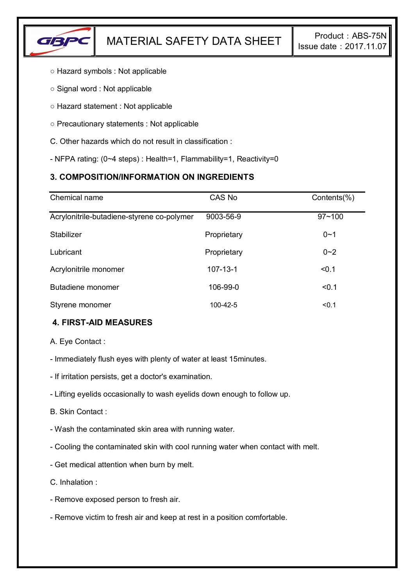

- Hazard symbols : Not applicable
- Signal word : Not applicable
- Hazard statement : Not applicable
- Precautionary statements : Not applicable
- C. Other hazards which do not result in classification :
- NFPA rating: (0~4 steps) : Health=1, Flammability=1, Reactivity=0

# **3. COMPOSITION/INFORMATION ON INGREDIENTS**

| Chemical name                              | CAS No         | Contents(%) |
|--------------------------------------------|----------------|-------------|
| Acrylonitrile-butadiene-styrene co-polymer | 9003-56-9      | $97 - 100$  |
| Stabilizer                                 | Proprietary    | $0 - 1$     |
| Lubricant                                  | Proprietary    | $0 - 2$     |
| Acrylonitrile monomer                      | $107 - 13 - 1$ | < 0.1       |
| Butadiene monomer                          | 106-99-0       | < 0.1       |
| Styrene monomer                            | 100-42-5       | < 0.1       |

# **4. FIRST-AID MEASURES**

A. Eye Contact :

- Immediately flush eyes with plenty of water at least 15minutes.
- If irritation persists, get a doctor's examination.
- Lifting eyelids occasionally to wash eyelids down enough to follow up.
- B. Skin Contact :
- Wash the contaminated skin area with running water.
- Cooling the contaminated skin with cool running water when contact with melt.
- Get medical attention when burn by melt.
- C. Inhalation :
- Remove exposed person to fresh air.
- Remove victim to fresh air and keep at rest in a position comfortable.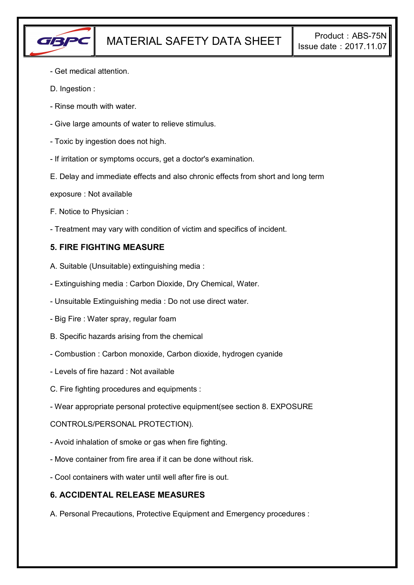

- Get medical attention.
- D. Ingestion :
- Rinse mouth with water.
- Give large amounts of water to relieve stimulus.
- Toxic by ingestion does not high.
- If irritation or symptoms occurs, get a doctor's examination.
- E. Delay and immediate effects and also chronic effects from short and long term
- exposure : Not available
- F. Notice to Physician :
- Treatment may vary with condition of victim and specifics of incident.

## **5. FIRE FIGHTING MEASURE**

- A. Suitable (Unsuitable) extinguishing media :
- Extinguishing media : Carbon Dioxide, Dry Chemical, Water.
- Unsuitable Extinguishing media : Do not use direct water.
- Big Fire : Water spray, regular foam
- B. Specific hazards arising from the chemical
- Combustion : Carbon monoxide, Carbon dioxide, hydrogen cyanide
- Levels of fire hazard : Not available
- C. Fire fighting procedures and equipments :
- Wear appropriate personal protective equipment(see section 8. EXPOSURE

### CONTROLS/PERSONAL PROTECTION).

- Avoid inhalation of smoke or gas when fire fighting.
- Move container from fire area if it can be done without risk.
- Cool containers with water until well after fire is out.

### **6. ACCIDENTAL RELEASE MEASURES**

A. Personal Precautions, Protective Equipment and Emergency procedures :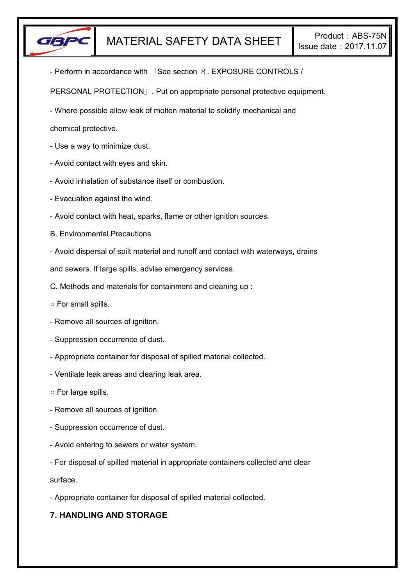

- Perform in accordance with 「See section 8. EXPOSURE CONTROLS /

PERSONAL PROTECTION」. Put on appropriate personal protective equipment.

- Where possible allow leak of molten material to solidify mechanical and

chemical protective.

- Use a way to minimize dust.
- Avoid contact with eyes and skin.
- Avoid inhalation of substance itself or combustion.
- Evacuation against the wind.
- Avoid contact with heat, sparks, flame or other ignition sources.
- B. Environmental Precautions
- Avoid dispersal of spilt material and runoff and contact with waterways, drains

and sewers. If large spills, advise emergency services.

- C. Methods and materials for containment and cleaning up :
- For small spills.
- Remove all sources of ignition.
- Suppression occurrence of dust.
- Appropriate container for disposal of spilled material collected.
- Ventilate leak areas and clearing leak area.
- For large spills.
- Remove all sources of ignition.
- Suppression occurrence of dust.
- Avoid entering to sewers or water system.
- For disposal of spilled material in appropriate containers collected and clear

surface.

- Appropriate container for disposal of spilled material collected.

# **7. HANDLING AND STORAGE**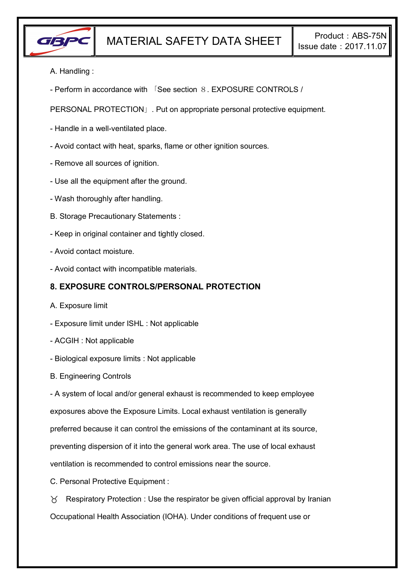

A. Handling :

- Perform in accordance with 「See section 8. EXPOSURE CONTROLS /

PERSONAL PROTECTION」. Put on appropriate personal protective equipment.

- Handle in a well-ventilated place.
- Avoid contact with heat, sparks, flame or other ignition sources.
- Remove all sources of ignition.
- Use all the equipment after the ground.
- Wash thoroughly after handling.
- B. Storage Precautionary Statements :
- Keep in original container and tightly closed.
- Avoid contact moisture.
- Avoid contact with incompatible materials.

### **8. EXPOSURE CONTROLS/PERSONAL PROTECTION**

- A. Exposure limit
- Exposure limit under ISHL : Not applicable
- ACGIH : Not applicable
- Biological exposure limits : Not applicable
- B. Engineering Controls

- A system of local and/or general exhaust is recommended to keep employee exposures above the Exposure Limits. Local exhaust ventilation is generally preferred because it can control the emissions of the contaminant at its source, preventing dispersion of it into the general work area. The use of local exhaust ventilation is recommended to control emissions near the source.

C. Personal Protective Equipment :

 $\gamma$  Respiratory Protection : Use the respirator be given official approval by Iranian Occupational Health Association (IOHA). Under conditions of frequent use or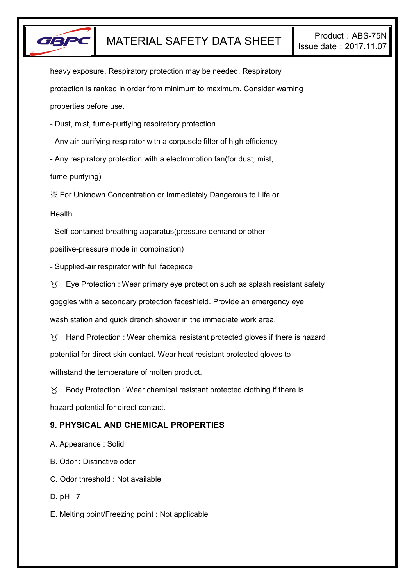

heavy exposure, Respiratory protection may be needed. Respiratory protection is ranked in order from minimum to maximum. Consider warning properties before use.

- Dust, mist, fume-purifying respiratory protection

- Any air-purifying respirator with a corpuscle filter of high efficiency

- Any respiratory protection with a electromotion fan(for dust, mist,

fume-purifying)

※ For Unknown Concentration or Immediately Dangerous to Life or

**Health** 

- Self-contained breathing apparatus(pressure-demand or other

positive-pressure mode in combination)

- Supplied-air respirator with full facepiece

 $\forall$  Eye Protection : Wear primary eye protection such as splash resistant safety

goggles with a secondary protection faceshield. Provide an emergency eye

wash station and quick drench shower in the immediate work area.

 $\gamma$  Hand Protection : Wear chemical resistant protected gloves if there is hazard potential for direct skin contact. Wear heat resistant protected gloves to withstand the temperature of molten product.

 $\gamma$  Body Protection : Wear chemical resistant protected clothing if there is hazard potential for direct contact.

# **9. PHYSICAL AND CHEMICAL PROPERTIES**

A. Appearance : Solid

B. Odor : Distinctive odor

C. Odor threshold : Not available

D. pH : 7

E. Melting point/Freezing point : Not applicable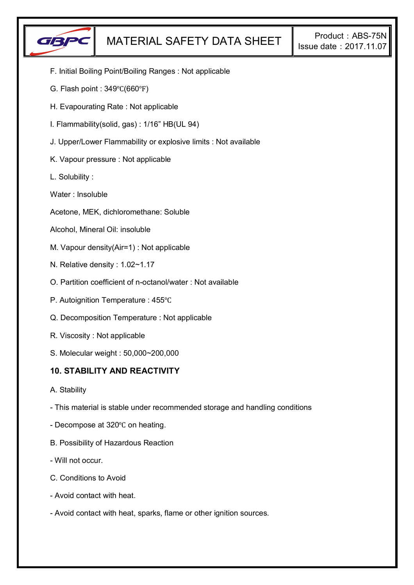

- F. Initial Boiling Point/Boiling Ranges : Not applicable
- G. Flash point : 349℃(660℉)
- H. Evapourating Rate : Not applicable
- I. Flammability(solid, gas) : 1/16" HB(UL 94)
- J. Upper/Lower Flammability or explosive limits : Not available
- K. Vapour pressure : Not applicable
- L. Solubility :
- Water : Insoluble
- Acetone, MEK, dichloromethane: Soluble
- Alcohol, Mineral Oil: insoluble
- M. Vapour density(Air=1) : Not applicable
- N. Relative density : 1.02~1.17
- O. Partition coefficient of n-octanol/water : Not available
- P. Autoignition Temperature : 455℃
- Q. Decomposition Temperature : Not applicable
- R. Viscosity : Not applicable
- S. Molecular weight : 50,000~200,000

### **10. STABILITY AND REACTIVITY**

- A. Stability
- This material is stable under recommended storage and handling conditions
- Decompose at 320℃ on heating.
- B. Possibility of Hazardous Reaction
- Will not occur.
- C. Conditions to Avoid
- Avoid contact with heat.
- Avoid contact with heat, sparks, flame or other ignition sources.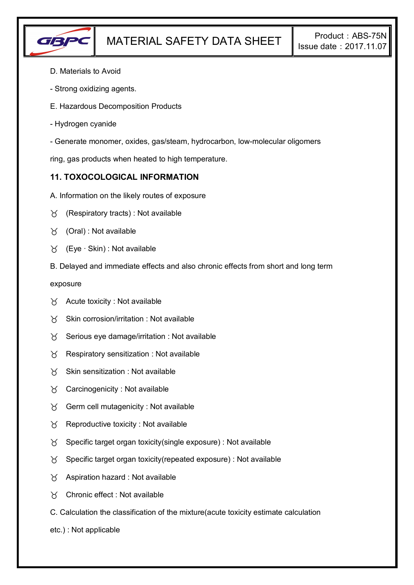

- D. Materials to Avoid
- Strong oxidizing agents.
- E. Hazardous Decomposition Products
- Hydrogen cyanide
- Generate monomer, oxides, gas/steam, hydrocarbon, low-molecular oligomers

ring, gas products when heated to high temperature.

## **11. TOXOCOLOGICAL INFORMATION**

- A. Information on the likely routes of exposure
- $\forall$  (Respiratory tracts) : Not available
- $\forall$  (Oral): Not available
- (Eye ∙ Skin) : Not available
- B. Delayed and immediate effects and also chronic effects from short and long term

exposure

- $\forall$  Acute toxicity : Not available
- $\gamma$  Skin corrosion/irritation : Not available
- $\gamma$  Serious eye damage/irritation : Not available
- $\gamma$  Respiratory sensitization : Not available
- $X$  Skin sensitization : Not available
- Carcinogenicity : Not available
- $\gamma$  Germ cell mutagenicity : Not available
- $\gamma$  Reproductive toxicity : Not available
- $\gamma$  Specific target organ toxicity(single exposure) : Not available
- $\gamma$  Specific target organ toxicity(repeated exposure) : Not available
- $\chi$  Aspiration hazard : Not available
- Chronic effect : Not available
- C. Calculation the classification of the mixture(acute toxicity estimate calculation
- etc.) : Not applicable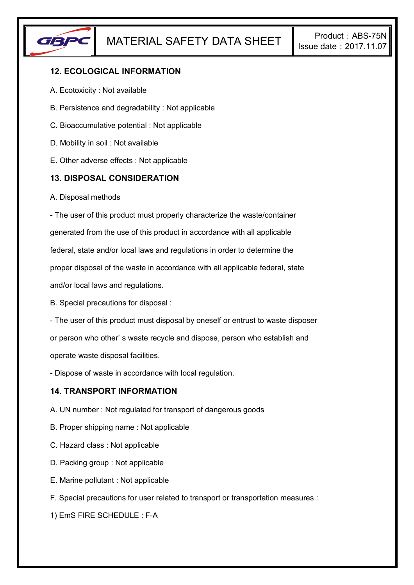

## **12. ECOLOGICAL INFORMATION**

- A. Ecotoxicity : Not available
- B. Persistence and degradability : Not applicable
- C. Bioaccumulative potential : Not applicable
- D. Mobility in soil : Not available
- E. Other adverse effects : Not applicable

## **13. DISPOSAL CONSIDERATION**

A. Disposal methods

- The user of this product must properly characterize the waste/container generated from the use of this product in accordance with all applicable federal, state and/or local laws and regulations in order to determine the proper disposal of the waste in accordance with all applicable federal, state and/or local laws and regulations.

B. Special precautions for disposal :

- The user of this product must disposal by oneself or entrust to waste disposer or person who other' s waste recycle and dispose, person who establish and operate waste disposal facilities.

- Dispose of waste in accordance with local regulation.

### **14. TRANSPORT INFORMATION**

- A. UN number : Not regulated for transport of dangerous goods
- B. Proper shipping name : Not applicable
- C. Hazard class : Not applicable
- D. Packing group : Not applicable
- E. Marine pollutant : Not applicable
- F. Special precautions for user related to transport or transportation measures :

1) EmS FIRE SCHEDULE : F-A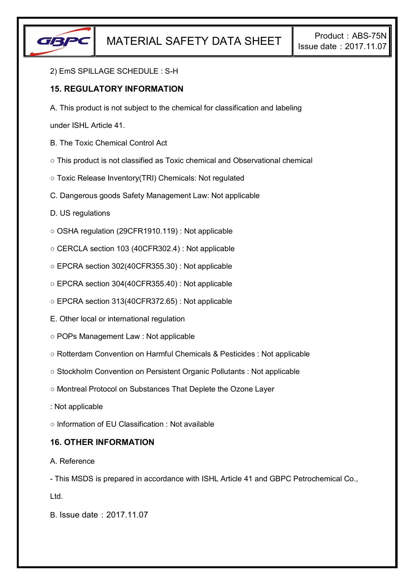

#### 2) EmS SPILLAGE SCHEDULE : S-H

## **15. REGULATORY INFORMATION**

A. This product is not subject to the chemical for classification and labeling

under ISHL Article 41.

- B. The Toxic Chemical Control Act
- This product is not classified as Toxic chemical and Observational chemical
- Toxic Release Inventory(TRI) Chemicals: Not regulated
- C. Dangerous goods Safety Management Law: Not applicable
- D. US regulations
- OSHA regulation (29CFR1910.119) : Not applicable
- CERCLA section 103 (40CFR302.4) : Not applicable
- EPCRA section 302(40CFR355.30) : Not applicable
- EPCRA section 304(40CFR355.40) : Not applicable
- EPCRA section 313(40CFR372.65) : Not applicable
- E. Other local or international regulation
- POPs Management Law : Not applicable
- Rotterdam Convention on Harmful Chemicals & Pesticides : Not applicable
- Stockholm Convention on Persistent Organic Pollutants : Not applicable
- Montreal Protocol on Substances That Deplete the Ozone Layer
- : Not applicable
- Information of EU Classification : Not available

### **16. OTHER INFORMATION**

### A. Reference

- This MSDS is prepared in accordance with ISHL Article 41 and GBPC Petrochemical Co.,

Ltd.

B. Issue date:2017.11.07